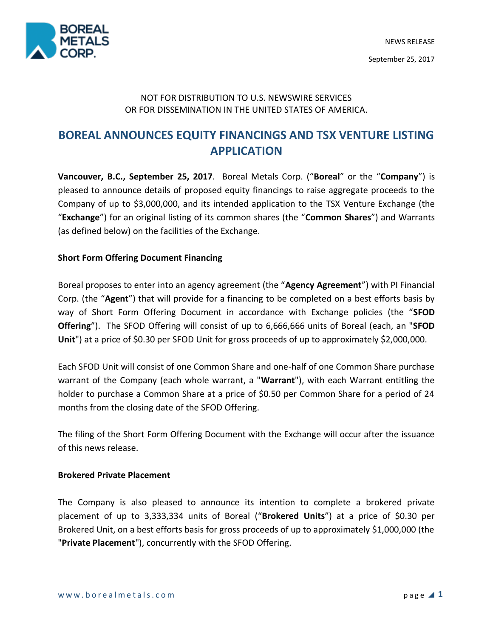

## NOT FOR DISTRIBUTION TO U.S. NEWSWIRE SERVICES OR FOR DISSEMINATION IN THE UNITED STATES OF AMERICA.

# **BOREAL ANNOUNCES EQUITY FINANCINGS AND TSX VENTURE LISTING APPLICATION**

**Vancouver, B.C., September 25, 2017**. Boreal Metals Corp. ("**Boreal**" or the "**Company**") is pleased to announce details of proposed equity financings to raise aggregate proceeds to the Company of up to \$3,000,000, and its intended application to the TSX Venture Exchange (the "**Exchange**") for an original listing of its common shares (the "**Common Shares**") and Warrants (as defined below) on the facilities of the Exchange.

### **Short Form Offering Document Financing**

Boreal proposes to enter into an agency agreement (the "**Agency Agreement**") with PI Financial Corp. (the "**Agent**") that will provide for a financing to be completed on a best efforts basis by way of Short Form Offering Document in accordance with Exchange policies (the "**SFOD Offering**"). The SFOD Offering will consist of up to 6,666,666 units of Boreal (each, an "**SFOD**  Unit") at a price of \$0.30 per SFOD Unit for gross proceeds of up to approximately \$2,000,000.

Each SFOD Unit will consist of one Common Share and one-half of one Common Share purchase warrant of the Company (each whole warrant, a "**Warrant**"), with each Warrant entitling the holder to purchase a Common Share at a price of \$0.50 per Common Share for a period of 24 months from the closing date of the SFOD Offering.

The filing of the Short Form Offering Document with the Exchange will occur after the issuance of this news release.

### **Brokered Private Placement**

The Company is also pleased to announce its intention to complete a brokered private placement of up to 3,333,334 units of Boreal ("**Brokered Units**") at a price of \$0.30 per Brokered Unit, on a best efforts basis for gross proceeds of up to approximately \$1,000,000 (the "**Private Placement**"), concurrently with the SFOD Offering.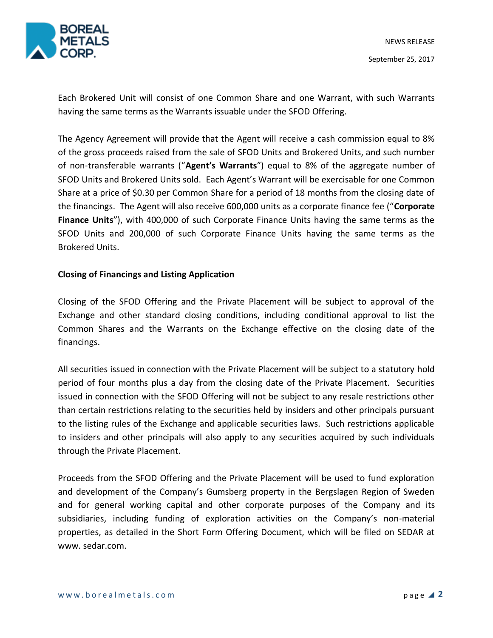

Each Brokered Unit will consist of one Common Share and one Warrant, with such Warrants having the same terms as the Warrants issuable under the SFOD Offering.

The Agency Agreement will provide that the Agent will receive a cash commission equal to 8% of the gross proceeds raised from the sale of SFOD Units and Brokered Units, and such number of non-transferable warrants ("**Agent's Warrants**") equal to 8% of the aggregate number of SFOD Units and Brokered Units sold. Each Agent's Warrant will be exercisable for one Common Share at a price of \$0.30 per Common Share for a period of 18 months from the closing date of the financings. The Agent will also receive 600,000 units as a corporate finance fee ("**Corporate Finance Units**"), with 400,000 of such Corporate Finance Units having the same terms as the SFOD Units and 200,000 of such Corporate Finance Units having the same terms as the Brokered Units.

### **Closing of Financings and Listing Application**

Closing of the SFOD Offering and the Private Placement will be subject to approval of the Exchange and other standard closing conditions, including conditional approval to list the Common Shares and the Warrants on the Exchange effective on the closing date of the financings.

All securities issued in connection with the Private Placement will be subject to a statutory hold period of four months plus a day from the closing date of the Private Placement. Securities issued in connection with the SFOD Offering will not be subject to any resale restrictions other than certain restrictions relating to the securities held by insiders and other principals pursuant to the listing rules of the Exchange and applicable securities laws. Such restrictions applicable to insiders and other principals will also apply to any securities acquired by such individuals through the Private Placement.

Proceeds from the SFOD Offering and the Private Placement will be used to fund exploration and development of the Company's Gumsberg property in the Bergslagen Region of Sweden and for general working capital and other corporate purposes of the Company and its subsidiaries, including funding of exploration activities on the Company's non-material properties, as detailed in the Short Form Offering Document, which will be filed on SEDAR at www. sedar.com.